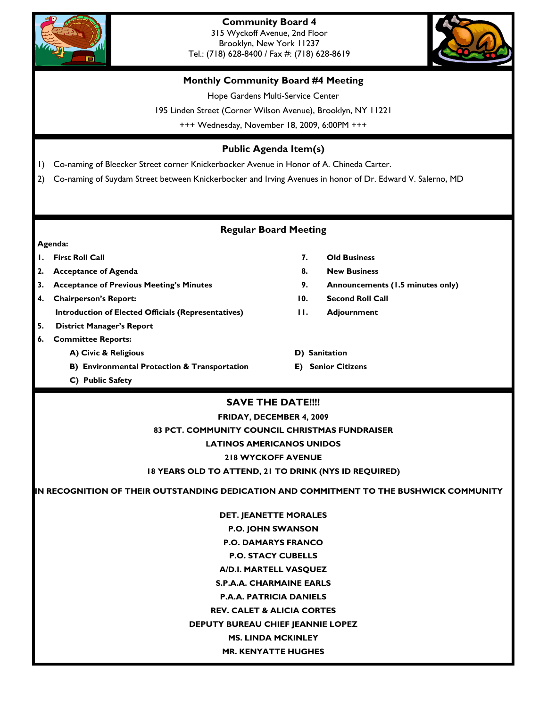



## **Monthly Community Board #4 Meeting**

Hope Gardens Multi-Service Center

195 Linden Street (Corner Wilson Avenue), Brooklyn, NY 11221

+++ Wednesday, November 18, 2009, 6:00PM +++

# **Public Agenda Item(s)**

1) Co-naming of Bleecker Street corner Knickerbocker Avenue in Honor of A. Chineda Carter.

2) Co-naming of Suydam Street between Knickerbocker and Irving Avenues in honor of Dr. Edward V. Salerno, MD

# **Regular Board Meeting**

#### **Agenda:**

- **2.** Acceptance of Agenda 8. New Business **8.** New Business
- **3. Acceptance of Previous Meeting's Minutes 9. Announcements (1.5 minutes only)**
- **4. Chairperson's Report: 10. Second Roll Call Introduction of Elected Officials (Representatives) 11. Adjournment**
- **5. District Manager's Report**
- **6. Committee Reports:** 
	- **A) Civic & Religious D) Sanitation**
	- **B) Environmental Protection & Transportation E) Senior Citizens**
	- **C) Public Safety**
- **1. First Roll Call 7. Old Business** 
	-
	-
	-
	-
	-
	-

# **SAVE THE DATE!!!!**

**FRIDAY, DECEMBER 4, 2009 83 PCT. COMMUNITY COUNCIL CHRISTMAS FUNDRAISER LATINOS AMERICANOS UNIDOS 218 WYCKOFF AVENUE 18 YEARS OLD TO ATTEND, 21 TO DRINK (NYS ID REQUIRED)** 

**IN RECOGNITION OF THEIR OUTSTANDING DEDICATION AND COMMITMENT TO THE BUSHWICK COMMUNITY** 

**DET. JEANETTE MORALES P.O. JOHN SWANSON P.O. DAMARYS FRANCO P.O. STACY CUBELLS A/D.I. MARTELL VASQUEZ S.P.A.A. CHARMAINE EARLS P.A.A. PATRICIA DANIELS REV. CALET & ALICIA CORTES DEPUTY BUREAU CHIEF JEANNIE LOPEZ MS. LINDA MCKINLEY** 

#### **MR. KENYATTE HUGHES**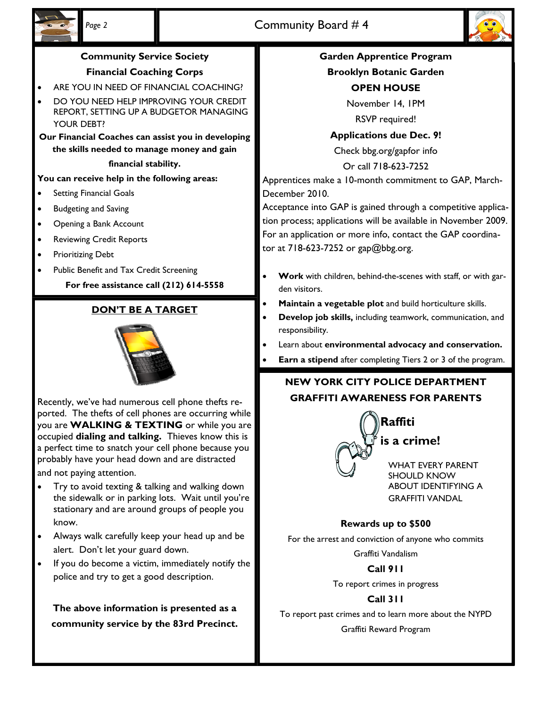



# **Community Service Society**

# **Financial Coaching Corps**

- ARE YOU IN NEED OF FINANCIAL COACHING?
- DO YOU NEED HELP IMPROVING YOUR CREDIT REPORT, SETTING UP A BUDGETOR MANAGING YOUR DEBT?

**Our Financial Coaches can assist you in developing the skills needed to manage money and gain** 

#### **financial stability.**

### **You can receive help in the following areas:**

- Setting Financial Goals
- Budgeting and Saving
- Opening a Bank Account
- Reviewing Credit Reports
- Prioritizing Debt
- Public Benefit and Tax Credit Screening

**For free assistance call (212) 614-5558** 

# **DON'T BE A TARGET**



Recently, we've had numerous cell phone thefts reported. The thefts of cell phones are occurring while you are **WALKING & TEXTING** or while you are occupied **dialing and talking.** Thieves know this is a perfect time to snatch your cell phone because you probably have your head down and are distracted and not paying attention.

- Try to avoid texting & talking and walking down the sidewalk or in parking lots. Wait until you're stationary and are around groups of people you know.
- Always walk carefully keep your head up and be alert. Don't let your guard down.
- If you do become a victim, immediately notify the police and try to get a good description.

**The above information is presented as a community service by the 83rd Precinct.** 

# **Garden Apprentice Program**

**Brooklyn Botanic Garden** 

# **OPEN HOUSE**

November 14, 1PM

RSVP required!

### **Applications due Dec. 9!**

Check bbg.org/gapfor info

Or call 718-623-7252

Apprentices make a 10-month commitment to GAP, March-December 2010.

Acceptance into GAP is gained through a competitive application process; applications will be available in November 2009. For an application or more info, contact the GAP coordinator at 718-623-7252 or gap@bbg.org.

- **Work** with children, behind-the-scenes with staff, or with garden visitors.
- **Maintain a vegetable plot** and build horticulture skills.
- **Develop job skills,** including teamwork, communication, and responsibility.
- Learn about **environmental advocacy and conservation.**
- **Earn a stipend** after completing Tiers 2 or 3 of the program.

# **NEW YORK CITY POLICE DEPARTMENT GRAFFITI AWARENESS FOR PARENTS**



# **Rewards up to \$500**

For the arrest and conviction of anyone who commits

Graffiti Vandalism

#### **Call 911**

To report crimes in progress

# **Call 311**

To report past crimes and to learn more about the NYPD Graffiti Reward Program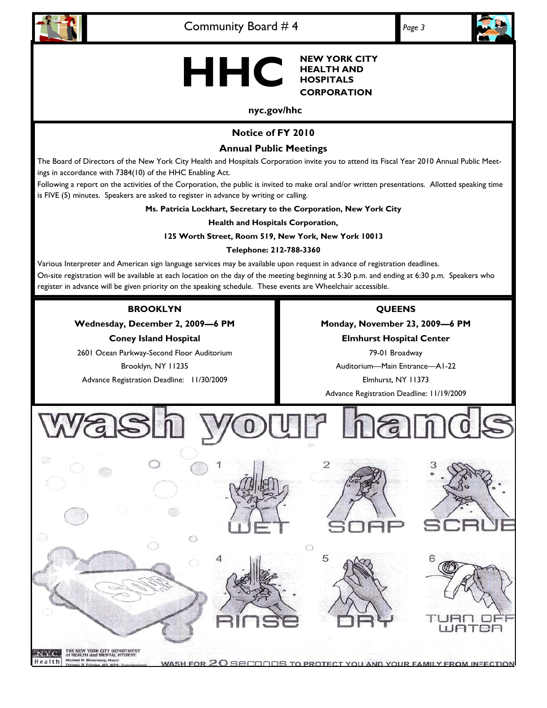



**NEW YORK CITY HEALTH AND HHC CORPORATION** 

#### **nyc.gov/hhc**

# **Notice of FY 2010**

## **Annual Public Meetings**

The Board of Directors of the New York City Health and Hospitals Corporation invite you to attend its Fiscal Year 2010 Annual Public Meetings in accordance with 7384(10) of the HHC Enabling Act.

Following a report on the activities of the Corporation, the public is invited to make oral and/or written presentations. Allotted speaking time is FIVE (5) minutes. Speakers are asked to register in advance by writing or calling.

**Ms. Patricia Lockhart, Secretary to the Corporation, New York City** 

**Health and Hospitals Corporation,** 

#### **125 Worth Street, Room 519, New York, New York 10013**

#### **Telephone: 212-788-3360**

Various Interpreter and American sign language services may be available upon request in advance of registration deadlines. On-site registration will be available at each location on the day of the meeting beginning at 5:30 p.m. and ending at 6:30 p.m. Speakers who register in advance will be given priority on the speaking schedule. These events are Wheelchair accessible.

#### **BROOKLYN**

**Wednesday, December 2, 2009—6 PM Coney Island Hospital** 

2601 Ocean Parkway-Second Floor Auditorium Brooklyn, NY 11235 Advance Registration Deadline: 11/30/2009

### **QUEENS**

**Monday, November 23, 2009—6 PM Elmhurst Hospital Center**  79-01 Broadway Auditorium—Main Entrance—A1-22

Elmhurst, NY 11373 Advance Registration Deadline: 11/19/2009



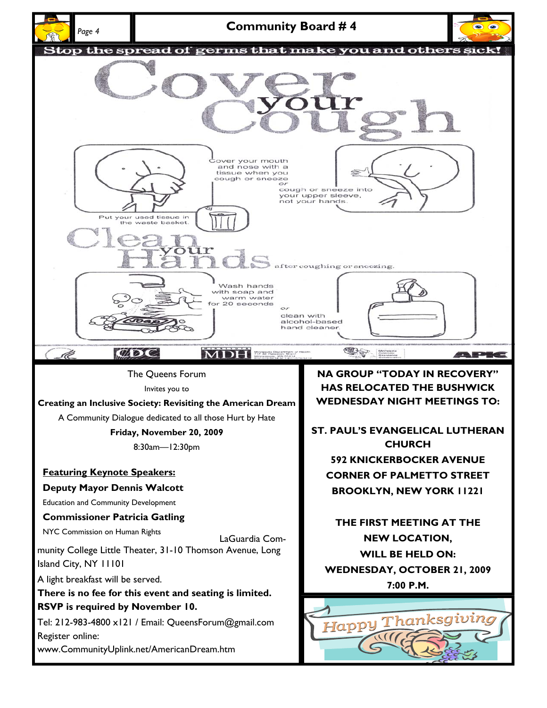